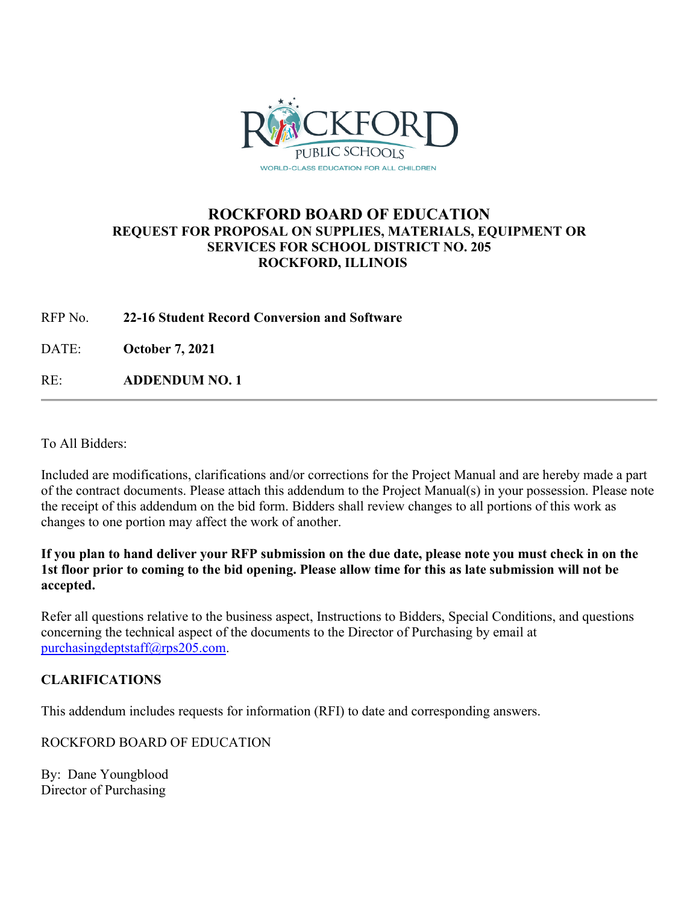

# **ROCKFORD BOARD OF EDUCATION REQUEST FOR PROPOSAL ON SUPPLIES, MATERIALS, EQUIPMENT OR SERVICES FOR SCHOOL DISTRICT NO. 205 ROCKFORD, ILLINOIS**

### RFP No. **22-16 Student Record Conversion and Software**

DATE: **October 7, 2021**

RE: **ADDENDUM NO. 1**

To All Bidders:

Included are modifications, clarifications and/or corrections for the Project Manual and are hereby made a part of the contract documents. Please attach this addendum to the Project Manual(s) in your possession. Please note the receipt of this addendum on the bid form. Bidders shall review changes to all portions of this work as changes to one portion may affect the work of another.

**If you plan to hand deliver your RFP submission on the due date, please note you must check in on the 1st floor prior to coming to the bid opening. Please allow time for this as late submission will not be accepted.**

Refer all questions relative to the business aspect, Instructions to Bidders, Special Conditions, and questions concerning the technical aspect of the documents to the Director of Purchasing by email at [purchasingdeptstaff@rps205.com.](mailto:purchasingdeptstaff@rps205.com)

## **CLARIFICATIONS**

This addendum includes requests for information (RFI) to date and corresponding answers.

ROCKFORD BOARD OF EDUCATION

By: Dane Youngblood Director of Purchasing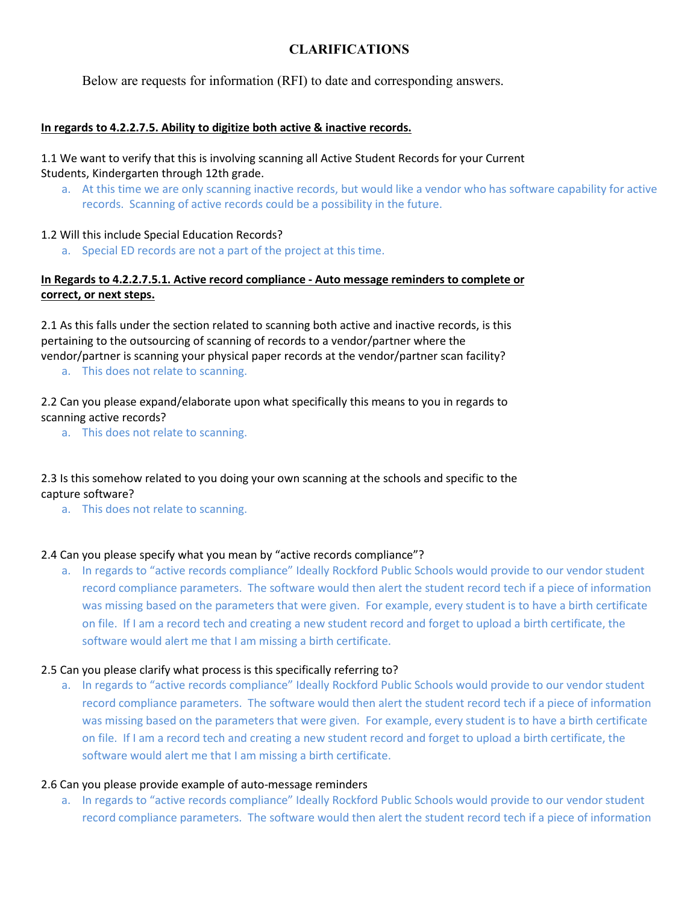## **CLARIFICATIONS**

Below are requests for information (RFI) to date and corresponding answers.

#### **In regards to 4.2.2.7.5. Ability to digitize both active & inactive records.**

#### 1.1 We want to verify that this is involving scanning all Active Student Records for your Current Students, Kindergarten through 12th grade.

a. At this time we are only scanning inactive records, but would like a vendor who has software capability for active records. Scanning of active records could be a possibility in the future.

#### 1.2 Will this include Special Education Records?

a. Special ED records are not a part of the project at this time.

### **In Regards to 4.2.2.7.5.1. Active record compliance - Auto message reminders to complete or correct, or next steps.**

2.1 As this falls under the section related to scanning both active and inactive records, is this pertaining to the outsourcing of scanning of records to a vendor/partner where the vendor/partner is scanning your physical paper records at the vendor/partner scan facility?

a. This does not relate to scanning.

2.2 Can you please expand/elaborate upon what specifically this means to you in regards to scanning active records?

a. This does not relate to scanning.

## 2.3 Is this somehow related to you doing your own scanning at the schools and specific to the capture software?

a. This does not relate to scanning.

#### 2.4 Can you please specify what you mean by "active records compliance"?

a. In regards to "active records compliance" Ideally Rockford Public Schools would provide to our vendor student record compliance parameters. The software would then alert the student record tech if a piece of information was missing based on the parameters that were given. For example, every student is to have a birth certificate on file. If I am a record tech and creating a new student record and forget to upload a birth certificate, the software would alert me that I am missing a birth certificate.

#### 2.5 Can you please clarify what process is this specifically referring to?

a. In regards to "active records compliance" Ideally Rockford Public Schools would provide to our vendor student record compliance parameters. The software would then alert the student record tech if a piece of information was missing based on the parameters that were given. For example, every student is to have a birth certificate on file. If I am a record tech and creating a new student record and forget to upload a birth certificate, the software would alert me that I am missing a birth certificate.

#### 2.6 Can you please provide example of auto-message reminders

a. In regards to "active records compliance" Ideally Rockford Public Schools would provide to our vendor student record compliance parameters. The software would then alert the student record tech if a piece of information